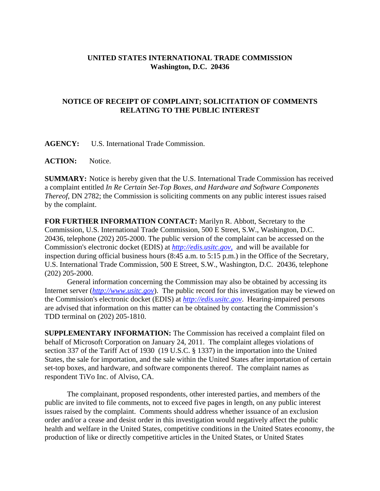## **UNITED STATES INTERNATIONAL TRADE COMMISSION Washington, D.C. 20436**

## **NOTICE OF RECEIPT OF COMPLAINT; SOLICITATION OF COMMENTS RELATING TO THE PUBLIC INTEREST**

**AGENCY:** U.S. International Trade Commission.

**ACTION:** Notice.

**SUMMARY:** Notice is hereby given that the U.S. International Trade Commission has received a complaint entitled *In Re Certain Set-Top Boxes, and Hardware and Software Components Thereof*, DN 2782; the Commission is soliciting comments on any public interest issues raised by the complaint.

**FOR FURTHER INFORMATION CONTACT:** Marilyn R. Abbott, Secretary to the Commission, U.S. International Trade Commission, 500 E Street, S.W., Washington, D.C. 20436, telephone (202) 205-2000. The public version of the complaint can be accessed on the Commission's electronic docket (EDIS) at *http://edis.usitc.gov*, and will be available for inspection during official business hours (8:45 a.m. to 5:15 p.m.) in the Office of the Secretary, U.S. International Trade Commission, 500 E Street, S.W., Washington, D.C. 20436, telephone (202) 205-2000.

General information concerning the Commission may also be obtained by accessing its Internet server (*http://www.usitc.gov*). The public record for this investigation may be viewed on the Commission's electronic docket (EDIS) at *http://edis.usitc.gov*. Hearing-impaired persons are advised that information on this matter can be obtained by contacting the Commission's TDD terminal on (202) 205-1810.

**SUPPLEMENTARY INFORMATION:** The Commission has received a complaint filed on behalf of Microsoft Corporation on January 24, 2011. The complaint alleges violations of section 337 of the Tariff Act of 1930 (19 U.S.C. § 1337) in the importation into the United States, the sale for importation, and the sale within the United States after importation of certain set-top boxes, and hardware, and software components thereof. The complaint names as respondent TiVo Inc. of Alviso, CA.

The complainant, proposed respondents, other interested parties, and members of the public are invited to file comments, not to exceed five pages in length, on any public interest issues raised by the complaint. Comments should address whether issuance of an exclusion order and/or a cease and desist order in this investigation would negatively affect the public health and welfare in the United States, competitive conditions in the United States economy, the production of like or directly competitive articles in the United States, or United States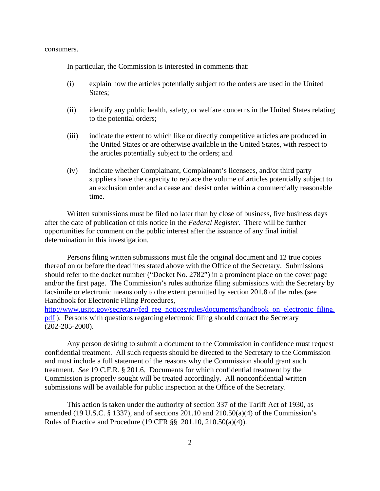consumers.

In particular, the Commission is interested in comments that:

- (i) explain how the articles potentially subject to the orders are used in the United States;
- (ii) identify any public health, safety, or welfare concerns in the United States relating to the potential orders;
- (iii) indicate the extent to which like or directly competitive articles are produced in the United States or are otherwise available in the United States, with respect to the articles potentially subject to the orders; and
- (iv) indicate whether Complainant, Complainant's licensees, and/or third party suppliers have the capacity to replace the volume of articles potentially subject to an exclusion order and a cease and desist order within a commercially reasonable time.

Written submissions must be filed no later than by close of business, five business days after the date of publication of this notice in the *Federal Register*. There will be further opportunities for comment on the public interest after the issuance of any final initial determination in this investigation.

Persons filing written submissions must file the original document and 12 true copies thereof on or before the deadlines stated above with the Office of the Secretary. Submissions should refer to the docket number ("Docket No. 2782") in a prominent place on the cover page and/or the first page. The Commission's rules authorize filing submissions with the Secretary by facsimile or electronic means only to the extent permitted by section 201.8 of the rules (see Handbook for Electronic Filing Procedures,

http://www.usitc.gov/secretary/fed\_reg\_notices/rules/documents/handbook\_on\_electronic\_filing. pdf ). Persons with questions regarding electronic filing should contact the Secretary (202-205-2000).

Any person desiring to submit a document to the Commission in confidence must request confidential treatment. All such requests should be directed to the Secretary to the Commission and must include a full statement of the reasons why the Commission should grant such treatment. *See* 19 C.F.R. § 201.6. Documents for which confidential treatment by the Commission is properly sought will be treated accordingly. All nonconfidential written submissions will be available for public inspection at the Office of the Secretary.

This action is taken under the authority of section 337 of the Tariff Act of 1930, as amended (19 U.S.C.  $\S$  1337), and of sections 201.10 and 210.50(a)(4) of the Commission's Rules of Practice and Procedure (19 CFR §§ 201.10, 210.50(a)(4)).